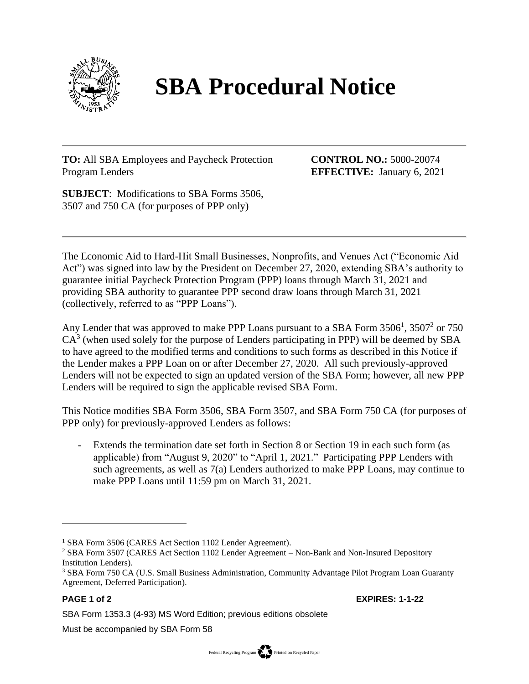

## **SBA Procedural Notice**

**TO:** All SBA Employees and Paycheck Protection Program Lenders

**CONTROL NO.:** 5000-20074 **EFFECTIVE:** January 6, 2021

**SUBJECT**: Modifications to SBA Forms 3506, 3507 and 750 CA (for purposes of PPP only)

The Economic Aid to Hard-Hit Small Businesses, Nonprofits, and Venues Act ("Economic Aid Act") was signed into law by the President on December 27, 2020, extending SBA's authority to guarantee initial Paycheck Protection Program (PPP) loans through March 31, 2021 and providing SBA authority to guarantee PPP second draw loans through March 31, 2021 (collectively, referred to as "PPP Loans").

Any Lender that was approved to make PPP Loans pursuant to a SBA Form  $3506<sup>1</sup>$ ,  $3507<sup>2</sup>$  or  $750$  $CA<sup>3</sup>$  (when used solely for the purpose of Lenders participating in PPP) will be deemed by SBA to have agreed to the modified terms and conditions to such forms as described in this Notice if the Lender makes a PPP Loan on or after December 27, 2020. All such previously-approved Lenders will not be expected to sign an updated version of the SBA Form; however, all new PPP Lenders will be required to sign the applicable revised SBA Form.

This Notice modifies SBA Form 3506, SBA Form 3507, and SBA Form 750 CA (for purposes of PPP only) for previously-approved Lenders as follows:

Extends the termination date set forth in Section 8 or Section 19 in each such form (as applicable) from "August 9, 2020" to "April 1, 2021." Participating PPP Lenders with such agreements, as well as 7(a) Lenders authorized to make PPP Loans, may continue to make PPP Loans until 11:59 pm on March 31, 2021.

**PAGE 1 of 2 EXPIRES: 1-1-22**

Must be accompanied by SBA Form 58

<sup>&</sup>lt;sup>1</sup> SBA Form 3506 (CARES Act Section 1102 Lender Agreement).

<sup>2</sup> SBA Form 3507 (CARES Act Section 1102 Lender Agreement – Non-Bank and Non-Insured Depository Institution Lenders).

<sup>3</sup> SBA Form 750 CA (U.S. Small Business Administration, Community Advantage Pilot Program Loan Guaranty Agreement, Deferred Participation).

SBA Form 1353.3 (4-93) MS Word Edition; previous editions obsolete